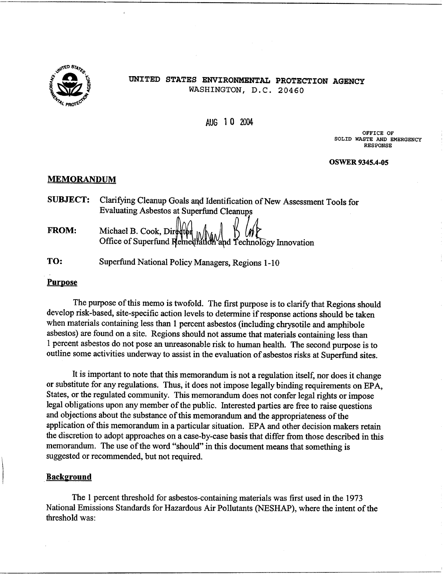

# UNITED STATES ENVIRONMENTAL PROTECTION AGENCY WASHINGTON, D.C. 20460

AUG 10 2004

OFFICE OF SOLID WASTE AND EMERGENCY **RESPONSE** 

#### **OSWER 9345.4-05**

# **MEMORANDUM**

|              | <b>SUBJECT:</b> Clarifying Cleanup Goals and Identification of New Assessment Tools for   |
|--------------|-------------------------------------------------------------------------------------------|
|              | Evaluating Asbestos at Superfund Cleanups                                                 |
|              | Michael B. Cook Director $\mathbb{R}$ $\mathbb{R}$ $\mathbb{R}$ $\mathbb{R}$ $\mathbb{R}$ |
| <b>FROM:</b> |                                                                                           |

- Office of Superfund Remediation and Technology Innovation
- TO: Superfund National Policy Managers, Regions 1-10

# **Purpose**

The purpose of this memo is twofold. The first purpose is to clarify that Regions should develop risk-based, site-specific action levels to determine if response actions should be taken when materials containing less than 1 percent asbestos (including chrysotile and amphibole asbestos) are found on a site. Regions should not assume that materials containing less than 1 percent asbestos do not pose an unreasonable risk to human health. The second purpose is to outline some activities underway to assist in the evaluation of asbestos risks at Superfund sites.

It is important to note that this memorandum is not a regulation itself, nor does it change or substitute for any regulations. Thus, it does not impose legally binding requirements on EPA, States, or the regulated community. This memorandum does not confer legal rights or impose legal obligations upon any member of the public. Interested parties are free to raise questions and objections about the substance of this memorandum and the appropriateness of the application of this memorandum in a particular situation. EPA and other decision makers retain the discretion to adopt approaches on a case-by-case basis that differ from those described in this memorandum. The use of the word "should" in this document means that something is suggested or recommended, but not required.

#### **Background**

The 1 percent threshold for asbestos-containing materials was first used in the 1973 National Emissions Standards for Hazardous Air Pollutants (NESHAP), where the intent of the threshold was: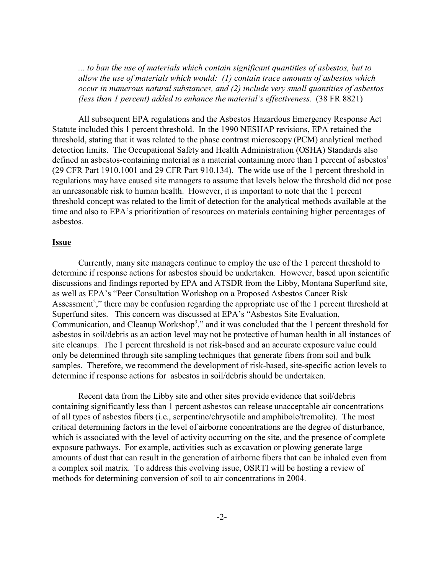*... to ban the use of materials which contain significant quantities of asbestos, but to allow the use of materials which would: (1) contain trace amounts of asbestos which occur in numerous natural substances, and (2) include very small quantities of asbestos (less than 1 percent) added to enhance the material's effectiveness.* (38 FR 8821)

All subsequent EPA regulations and the Asbestos Hazardous Emergency Response Act Statute included this 1 percent threshold. In the 1990 NESHAP revisions, EPA retained the threshold, stating that it was related to the phase contrast microscopy (PCM) analytical method detection limits. The Occupational Safety and Health Administration (OSHA) Standards also defined an asbestos-containing material as a material containing more than 1 percent of asbestos<sup>1</sup> (29 CFR Part 1910.1001 and 29 CFR Part 910.134). The wide use of the 1 percent threshold in regulations may have caused site managers to assume that levels below the threshold did not pose an unreasonable risk to human health. However, it is important to note that the 1 percent threshold concept was related to the limit of detection for the analytical methods available at the time and also to EPA's prioritization of resources on materials containing higher percentages of asbestos.

### **Issue**

Currently, many site managers continue to employ the use of the 1 percent threshold to determine if response actions for asbestos should be undertaken. However, based upon scientific discussions and findings reported by EPA and ATSDR from the Libby, Montana Superfund site, as well as EPA's "Peer Consultation Workshop on a Proposed Asbestos Cancer Risk Assessment<sup>2</sup>," there may be confusion regarding the appropriate use of the 1 percent threshold at Superfund sites. This concern was discussed at EPA's "Asbestos Site Evaluation, Communication, and Cleanup Workshop<sup>3</sup>," and it was concluded that the 1 percent threshold for asbestos in soil/debris as an action level may not be protective of human health in all instances of site cleanups. The 1 percent threshold is not risk-based and an accurate exposure value could only be determined through site sampling techniques that generate fibers from soil and bulk samples. Therefore, we recommend the development of risk-based, site-specific action levels to determine if response actions for asbestos in soil/debris should be undertaken.

Recent data from the Libby site and other sites provide evidence that soil/debris containing significantly less than 1 percent asbestos can release unacceptable air concentrations of all types of asbestos fibers (i.e., serpentine/chrysotile and amphibole/tremolite). The most critical determining factors in the level of airborne concentrations are the degree of disturbance, which is associated with the level of activity occurring on the site, and the presence of complete exposure pathways. For example, activities such as excavation or plowing generate large amounts of dust that can result in the generation of airborne fibers that can be inhaled even from a complex soil matrix. To address this evolving issue, OSRTI will be hosting a review of methods for determining conversion of soil to air concentrations in 2004.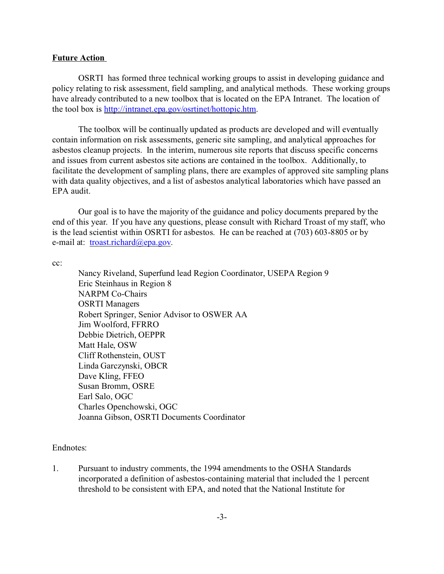# **Future Action**

OSRTI has formed three technical working groups to assist in developing guidance and policy relating to risk assessment, field sampling, and analytical methods. These working groups have already contributed to a new toolbox that is located on the EPA Intranet. The location of the tool box is [http://intranet.epa.gov/osrtinet/hottopic.htm](http://intranet.epa.gov/oerrinet/hottopic.htm).

The toolbox will be continually updated as products are developed and will eventually contain information on risk assessments, generic site sampling, and analytical approaches for asbestos cleanup projects. In the interim, numerous site reports that discuss specific concerns and issues from current asbestos site actions are contained in the toolbox. Additionally, to facilitate the development of sampling plans, there are examples of approved site sampling plans with data quality objectives, and a list of asbestos analytical laboratories which have passed an EPA audit.

Our goal is to have the majority of the guidance and policy documents prepared by the end of this year. If you have any questions, please consult with Richard Troast of my staff, who is the lead scientist within OSRTI for asbestos. He can be reached at (703) 603-8805 or by e-mail at: [troast.richard@epa.gov](mailto:troast.richard@epa.gov).

cc:

Nancy Riveland, Superfund lead Region Coordinator, USEPA Region 9 Eric Steinhaus in Region 8 NARPM Co-Chairs OSRTI Managers Robert Springer, Senior Advisor to OSWER AA Jim Woolford, FFRRO Debbie Dietrich, OEPPR Matt Hale, OSW Cliff Rothenstein, OUST Linda Garczynski, OBCR Dave Kling, FFEO Susan Bromm, OSRE Earl Salo, OGC Charles Openchowski, OGC Joanna Gibson, OSRTI Documents Coordinator

# Endnotes:

1. Pursuant to industry comments, the 1994 amendments to the OSHA Standards incorporated a definition of asbestos-containing material that included the 1 percent threshold to be consistent with EPA, and noted that the National Institute for